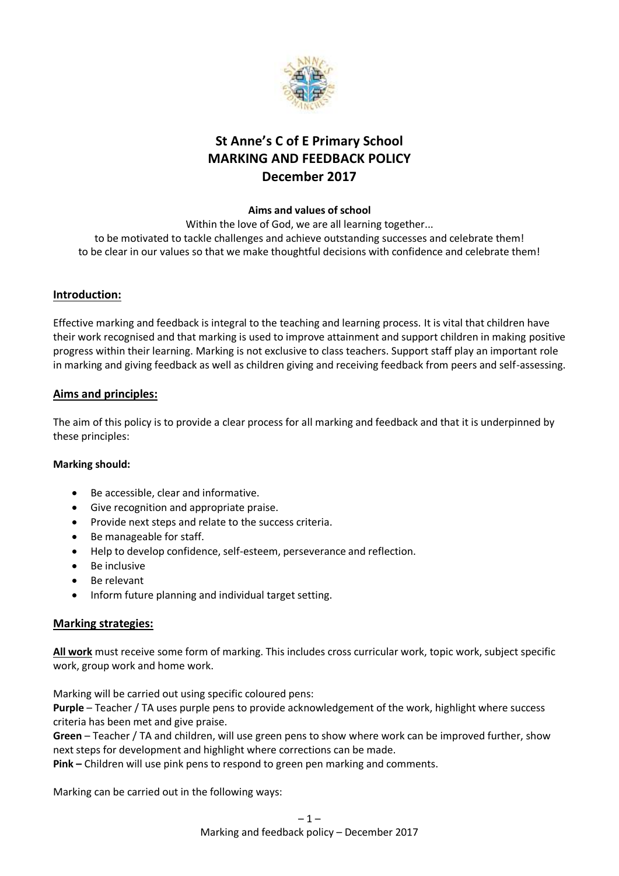

# **St Anne's C of E Primary School MARKING AND FEEDBACK POLICY December 2017**

#### **Aims and values of school**

Within the love of God, we are all learning together... to be motivated to tackle challenges and achieve outstanding successes and celebrate them! to be clear in our values so that we make thoughtful decisions with confidence and celebrate them!

## **Introduction:**

Effective marking and feedback is integral to the teaching and learning process. It is vital that children have their work recognised and that marking is used to improve attainment and support children in making positive progress within their learning. Marking is not exclusive to class teachers. Support staff play an important role in marking and giving feedback as well as children giving and receiving feedback from peers and self-assessing.

#### **Aims and principles:**

The aim of this policy is to provide a clear process for all marking and feedback and that it is underpinned by these principles:

#### **Marking should:**

- Be accessible, clear and informative.
- Give recognition and appropriate praise.
- Provide next steps and relate to the success criteria.
- Be manageable for staff.
- Help to develop confidence, self-esteem, perseverance and reflection.
- Be inclusive
- Be relevant
- Inform future planning and individual target setting.

#### **Marking strategies:**

**All work** must receive some form of marking. This includes cross curricular work, topic work, subject specific work, group work and home work.

Marking will be carried out using specific coloured pens:

**Purple** – Teacher / TA uses purple pens to provide acknowledgement of the work, highlight where success criteria has been met and give praise.

**Green** – Teacher / TA and children, will use green pens to show where work can be improved further, show next steps for development and highlight where corrections can be made.

**Pink –** Children will use pink pens to respond to green pen marking and comments.

Marking can be carried out in the following ways: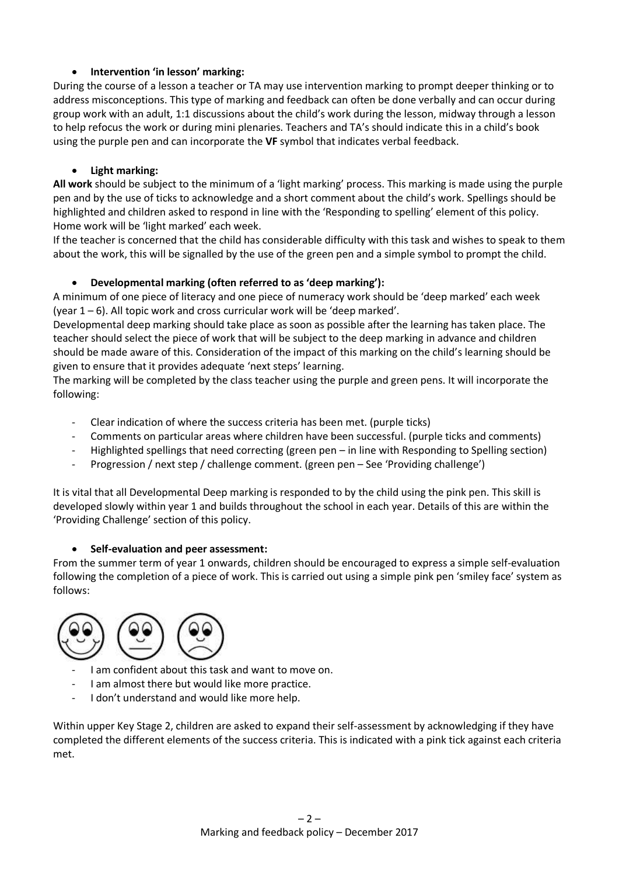## **Intervention 'in lesson' marking:**

During the course of a lesson a teacher or TA may use intervention marking to prompt deeper thinking or to address misconceptions. This type of marking and feedback can often be done verbally and can occur during group work with an adult, 1:1 discussions about the child's work during the lesson, midway through a lesson to help refocus the work or during mini plenaries. Teachers and TA's should indicate this in a child's book using the purple pen and can incorporate the **VF** symbol that indicates verbal feedback.

#### **Light marking:**

**All work** should be subject to the minimum of a 'light marking' process. This marking is made using the purple pen and by the use of ticks to acknowledge and a short comment about the child's work. Spellings should be highlighted and children asked to respond in line with the 'Responding to spelling' element of this policy. Home work will be 'light marked' each week.

If the teacher is concerned that the child has considerable difficulty with this task and wishes to speak to them about the work, this will be signalled by the use of the green pen and a simple symbol to prompt the child.

## **Developmental marking (often referred to as 'deep marking'):**

A minimum of one piece of literacy and one piece of numeracy work should be 'deep marked' each week (year 1 – 6). All topic work and cross curricular work will be 'deep marked'.

Developmental deep marking should take place as soon as possible after the learning has taken place. The teacher should select the piece of work that will be subject to the deep marking in advance and children should be made aware of this. Consideration of the impact of this marking on the child's learning should be given to ensure that it provides adequate 'next steps' learning.

The marking will be completed by the class teacher using the purple and green pens. It will incorporate the following:

- Clear indication of where the success criteria has been met. (purple ticks)
- Comments on particular areas where children have been successful. (purple ticks and comments)
- Highlighted spellings that need correcting (green pen in line with Responding to Spelling section)
- Progression / next step / challenge comment. (green pen See 'Providing challenge')

It is vital that all Developmental Deep marking is responded to by the child using the pink pen. This skill is developed slowly within year 1 and builds throughout the school in each year. Details of this are within the 'Providing Challenge' section of this policy.

#### **Self-evaluation and peer assessment:**

From the summer term of year 1 onwards, children should be encouraged to express a simple self-evaluation following the completion of a piece of work. This is carried out using a simple pink pen 'smiley face' system as follows:



- I am confident about this task and want to move on.
- I am almost there but would like more practice.
- I don't understand and would like more help.

Within upper Key Stage 2, children are asked to expand their self-assessment by acknowledging if they have completed the different elements of the success criteria. This is indicated with a pink tick against each criteria met.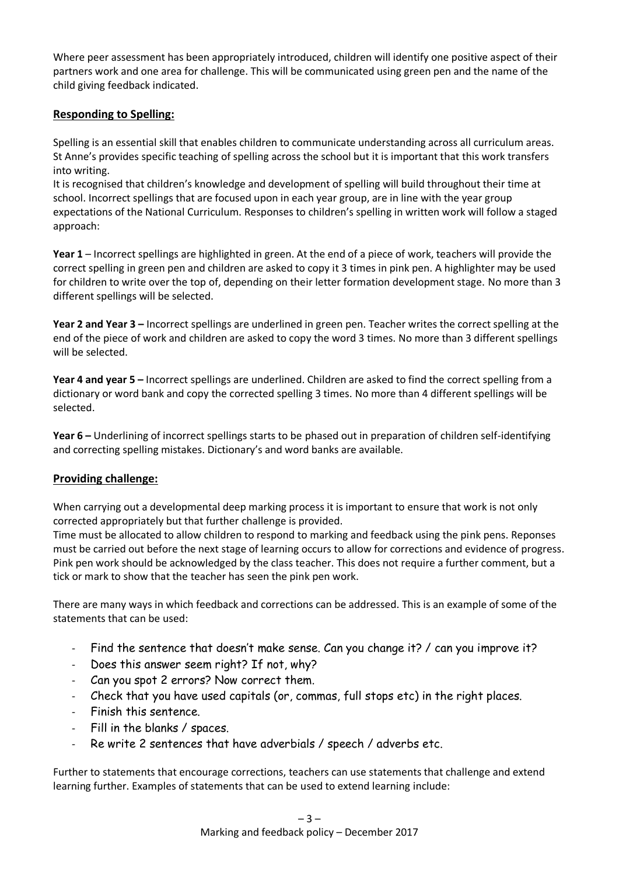Where peer assessment has been appropriately introduced, children will identify one positive aspect of their partners work and one area for challenge. This will be communicated using green pen and the name of the child giving feedback indicated.

### **Responding to Spelling:**

Spelling is an essential skill that enables children to communicate understanding across all curriculum areas. St Anne's provides specific teaching of spelling across the school but it is important that this work transfers into writing.

It is recognised that children's knowledge and development of spelling will build throughout their time at school. Incorrect spellings that are focused upon in each year group, are in line with the year group expectations of the National Curriculum. Responses to children's spelling in written work will follow a staged approach:

**Year 1** – Incorrect spellings are highlighted in green. At the end of a piece of work, teachers will provide the correct spelling in green pen and children are asked to copy it 3 times in pink pen. A highlighter may be used for children to write over the top of, depending on their letter formation development stage. No more than 3 different spellings will be selected.

**Year 2 and Year 3 –** Incorrect spellings are underlined in green pen. Teacher writes the correct spelling at the end of the piece of work and children are asked to copy the word 3 times. No more than 3 different spellings will be selected.

**Year 4 and year 5 –** Incorrect spellings are underlined. Children are asked to find the correct spelling from a dictionary or word bank and copy the corrected spelling 3 times. No more than 4 different spellings will be selected.

**Year 6 –** Underlining of incorrect spellings starts to be phased out in preparation of children self-identifying and correcting spelling mistakes. Dictionary's and word banks are available.

#### **Providing challenge:**

When carrying out a developmental deep marking process it is important to ensure that work is not only corrected appropriately but that further challenge is provided.

Time must be allocated to allow children to respond to marking and feedback using the pink pens. Reponses must be carried out before the next stage of learning occurs to allow for corrections and evidence of progress. Pink pen work should be acknowledged by the class teacher. This does not require a further comment, but a tick or mark to show that the teacher has seen the pink pen work.

There are many ways in which feedback and corrections can be addressed. This is an example of some of the statements that can be used:

- Find the sentence that doesn't make sense. Can you change it? / can you improve it?
- Does this answer seem right? If not, why?
- Can you spot 2 errors? Now correct them.
- Check that you have used capitals (or, commas, full stops etc) in the right places.
- Finish this sentence.
- Fill in the blanks / spaces.
- Re write 2 sentences that have adverbials / speech / adverbs etc.

Further to statements that encourage corrections, teachers can use statements that challenge and extend learning further. Examples of statements that can be used to extend learning include: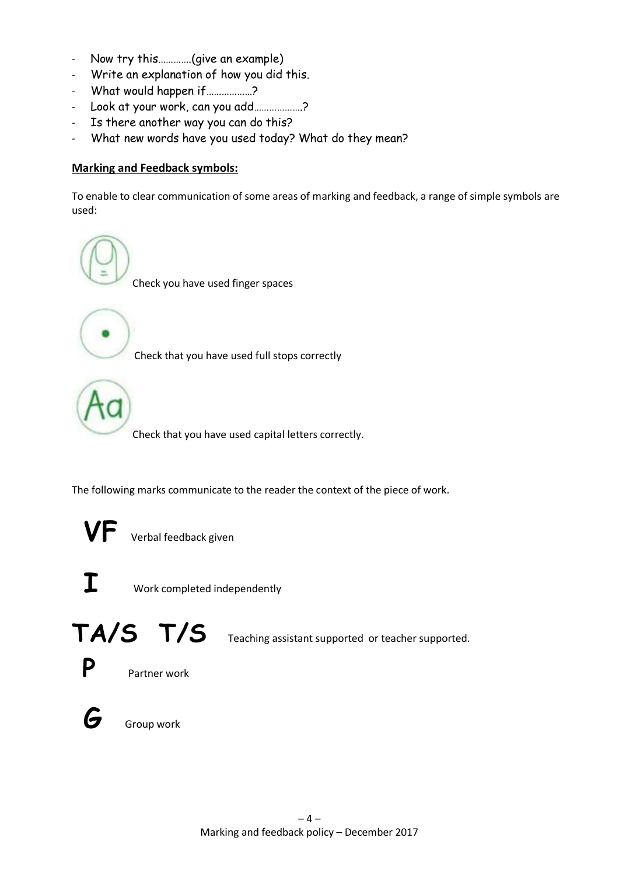- Now try this………….(give an example)
- Write an explanation of how you did this.
- What would happen if………………?
- Look at your work, can you add……………….?
- Is there another way you can do this?
- What new words have you used today? What do they mean?

## **Marking and Feedback symbols:**

To enable to clear communication of some areas of marking and feedback, a range of simple symbols are used:



Check that you have used capital letters correctly.

The following marks communicate to the reader the context of the piece of work.

**Verbal feedback given** 



**I** Work completed independently

TA/S T/S Teaching assistant supported or teacher supported.



**G** Group work